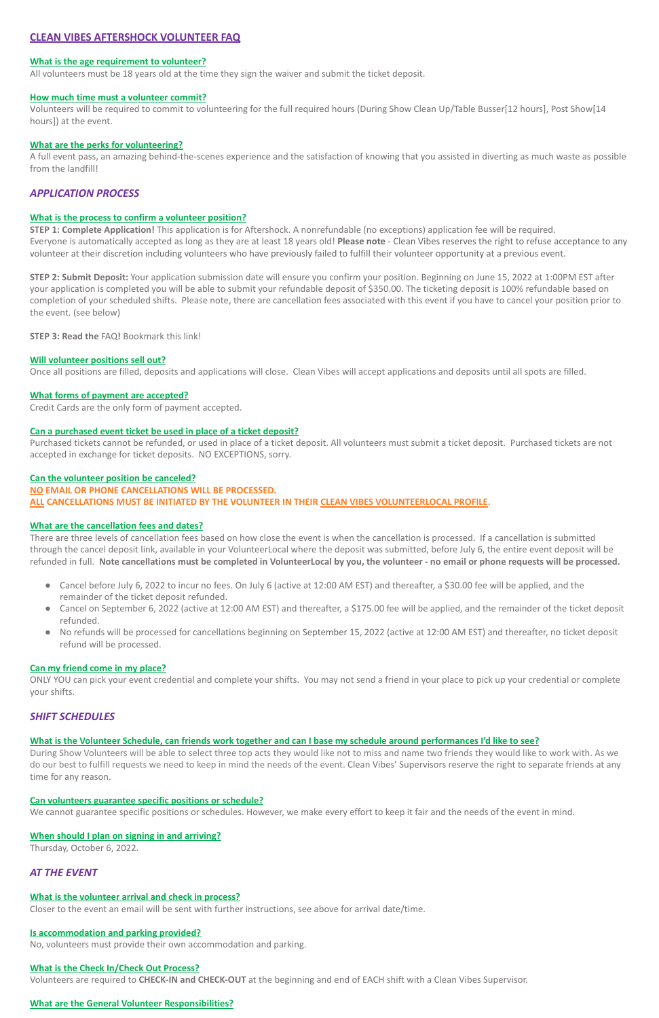# **CLEAN VIBES AFTERSHOCK VOLUNTEER FAQ**

### **What is the age requirement to volunteer?**

All volunteers must be 18 years old at the time they sign the waiver and submit the ticket deposit.

### **How much time must a volunteer commit?**

A full event pass, an amazing behind-the-scenes experience and the satisfaction of knowing that you assisted in diverting as much waste as possible from the landfill!

Volunteers will be required to commit to volunteering for the full required hours (During Show Clean Up/Table Busser[12 hours], Post Show[14 hours]) at the event.

### **What are the perks for volunteering?**

## *APPLICATION PROCESS*

### **What is the process to confirm a volunteer position?**

**STEP 1: Complete Application!** This application is for Aftershock. A nonrefundable (no exceptions) application fee will be required. Everyone is automatically accepted as long as they are at least 18 years old! **Please note** - Clean Vibes reserves the right to refuse acceptance to any volunteer at their discretion including volunteers who have previously failed to fulfill their volunteer opportunity at a previous event.

**STEP 2: Submit Deposit:** Your application submission date will ensure you confirm your position. Beginning on June 15, 2022 at 1:00PM EST after your application is completed you will be able to submit your refundable deposit of \$350.00. The ticketing deposit is 100% refundable based on completion of your scheduled shifts. Please note, there are cancellation fees associated with this event if you have to cancel your position prior to the event. (see below)

**STEP 3: Read the** FAQ**!** Bookmark this link!

### **Will volunteer positions sell out?**

Once all positions are filled, deposits and applications will close. Clean Vibes will accept applications and deposits until all spots are filled.

### **What forms of payment are accepted?**

Credit Cards are the only form of payment accepted.

### **Can a purchased event ticket be used in place of a ticket deposit?**

Purchased tickets cannot be refunded, or used in place of a ticket deposit. All volunteers must submit a ticket deposit. Purchased tickets are not accepted in exchange for ticket deposits. NO EXCEPTIONS, sorry.

#### **Can the volunteer position be canceled?**

#### **NO EMAIL OR PHONE CANCELLATIONS WILL BE PROCESSED.**

**ALL CANCELLATIONS MUST BE INITIATED BY THE VOLUNTEER IN THEIR CLEAN VIBES VOLUNTEERLOCAL PROFILE.**

### **What are the cancellation fees and dates?**

There are three levels of cancellation fees based on how close the event is when the cancellation is processed. If a cancellation is submitted through the cancel deposit link, available in your VolunteerLocal where the deposit was submitted, before July 6, the entire event deposit will be refunded in full. **Note cancellations must be completed in VolunteerLocal by you, the volunteer - no email or phone requests will be processed.**

- Cancel before July 6, 2022 to incur no fees. On July 6 (active at 12:00 AM EST) and thereafter, a \$30.00 fee will be applied, and the remainder of the ticket deposit refunded.
- Cancel on September 6, 2022 (active at 12:00 AM EST) and thereafter, a \$175.00 fee will be applied, and the remainder of the ticket deposit refunded.
- No refunds will be processed for cancellations beginning on September 15, 2022 (active at 12:00 AM EST) and thereafter, no ticket deposit refund will be processed.

### **Can my friend come in my place?**

ONLY YOU can pick your event credential and complete your shifts. You may not send a friend in your place to pick up your credential or complete your shifts.

## *SHIFT SCHEDULES*

### **What is the Volunteer Schedule, can friends work together and can I base my schedule around performances I'd like to see?**

During Show Volunteers will be able to select three top acts they would like not to miss and name two friends they would like to work with. As we do our best to fulfill requests we need to keep in mind the needs of the event. Clean Vibes' Supervisors reserve the right to separate friends at any time for any reason.

### **Can volunteers guarantee specific positions or schedule?**

We cannot guarantee specific positions or schedules. However, we make every effort to keep it fair and the needs of the event in mind.

### **When should I plan on signing in and arriving?**

Thursday, October 6, 2022.

# *AT THE EVENT*

### **What is the volunteer arrival and check in process?**

Closer to the event an email will be sent with further instructions, see above for arrival date/time.

## **Is accommodation and parking provided?**

No, volunteers must provide their own accommodation and parking.

## **What is the Check In/Check Out Process?**

Volunteers are required to **CHECK-IN and CHECK-OUT** at the beginning and end of EACH shift with a Clean Vibes Supervisor.

## **What are the General Volunteer Responsibilities?**